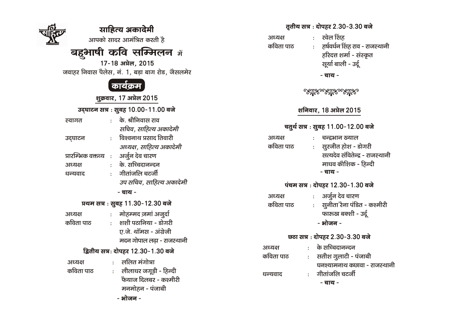|                                     | साहित्य अकादेमी                                 | तृतीय सत्र : दोपहर 2.30-3.30 बजे                                 |
|-------------------------------------|-------------------------------------------------|------------------------------------------------------------------|
|                                     | आपको सादर आमंत्रित करती है                      | रवेल सिंह<br>$\mathbb{R}^{\mathbb{Z}}$<br>अध्यक्ष                |
|                                     |                                                 | कविता पाठ<br>: हर्षवर्धन सिंह राव - राजस्थानी                    |
|                                     | <b>बहुभाषी कवि सम्मिलन</b> में                  | हरिदत्त शर्मा - संस्कृत                                          |
|                                     | 17-18 अप्रेल, 2015                              | सूर्या बाली - उर्दू                                              |
|                                     | जवाहर निवास पैलेस, नं. 1, बड़ा बाग रोड, जैसलमेर | - चाय -                                                          |
|                                     | कार्यक्रम                                       |                                                                  |
|                                     |                                                 | <u> ಲೆನೆಸಿಂಲೆನೆಸಿಂಲೆನೆಸಿಂ</u>                                    |
|                                     | शुक्रवार, 17 अप्रेल 2015                        |                                                                  |
| उद्घाटन सत्र : सुबह 10.00-11.00 बजे |                                                 | शनिवार, 18 अप्रेल 2015                                           |
| स्वागत                              | : के. श्रीनिवास राव                             |                                                                  |
|                                     | सचिव, साहित्य अकादेमी                           | चतुर्थ सत्र : सुबह 11.00-12.00 बजे                               |
| उद्घाटन                             | विश्वनाथ प्रसाद तिवारी<br>$\mathbf{r}$          | अध्यक्ष<br>चन्द्रभान ख्याल<br>$\mathbf{r}$                       |
|                                     | अध्यक्ष, साहित्य अकादेमी                        | कविता पाठ<br>: सुरजीत होश - डोगरी                                |
| प्रारम्भिक वक्तव्य<br>$\sim$        | अर्जुन देव चारण                                 | सत्यदेव संवितेन्द्र - राजस्थानी                                  |
| अध्यक्ष                             | : के. सच्चिदानन्दन                              | माधव कोशिक - हिन्दी                                              |
| धन्यवाद                             | गीतांजलि चटर्जी<br>$\mathbf{r}$                 | - चाय -                                                          |
|                                     | उप सचिव, साहित्य अकादेमी                        | पंचम सत्र : दोपहर 12.30-1.30 बजे                                 |
|                                     | - चाय -                                         |                                                                  |
|                                     |                                                 | अर्जुन देव चारण<br>अध्यक्ष                                       |
| प्रथम सत्र : सुबह 11.30-12.30 बजे   |                                                 | : सुनीता रैना पंडित - कश्मीरी<br>कविता पाठ                       |
| अध्यक्ष                             | : मोहम्मद ज़मां अज़ुर्दा                        | फारूख बक्शी - उर्दू                                              |
| कविता पाठ                           | शशी पठानिया - डोगरी<br>$\mathbf{r}$             | - भोजन -                                                         |
|                                     | ए.जे. थॉमस - अंग्रेजी                           | छठा सत्र : दोपहर 2.30-3.30 बजे                                   |
|                                     | मदन गोपाल लढ़ा - राजस्थानी                      |                                                                  |
| द्वितीय सत्र: दोपहर 12.30-1.30 बजे  |                                                 | : के सच्चिदानन्दन<br>अध्यक्ष                                     |
| अध्यक्ष                             | : ललित मंगोत्रा                                 | कविता पाठ<br>सतीश गुलाटी - पंजाबी<br>$\mathbb{C}^{\mathbb{Z}^n}$ |
| कविता पाठ                           | : लीलाधर जगूड़ी - हिन्दी                        | घनश्यामनाथ कछावा - राजस्थानी                                     |
|                                     | फैयाज दिलबर - कश्मीरी                           | गीतांजलि चटर्जी<br>धन्यवाद                                       |
|                                     | मनमोहन - पंजाबी                                 | - चाय -                                                          |
|                                     | - भोजन -                                        |                                                                  |
|                                     |                                                 |                                                                  |